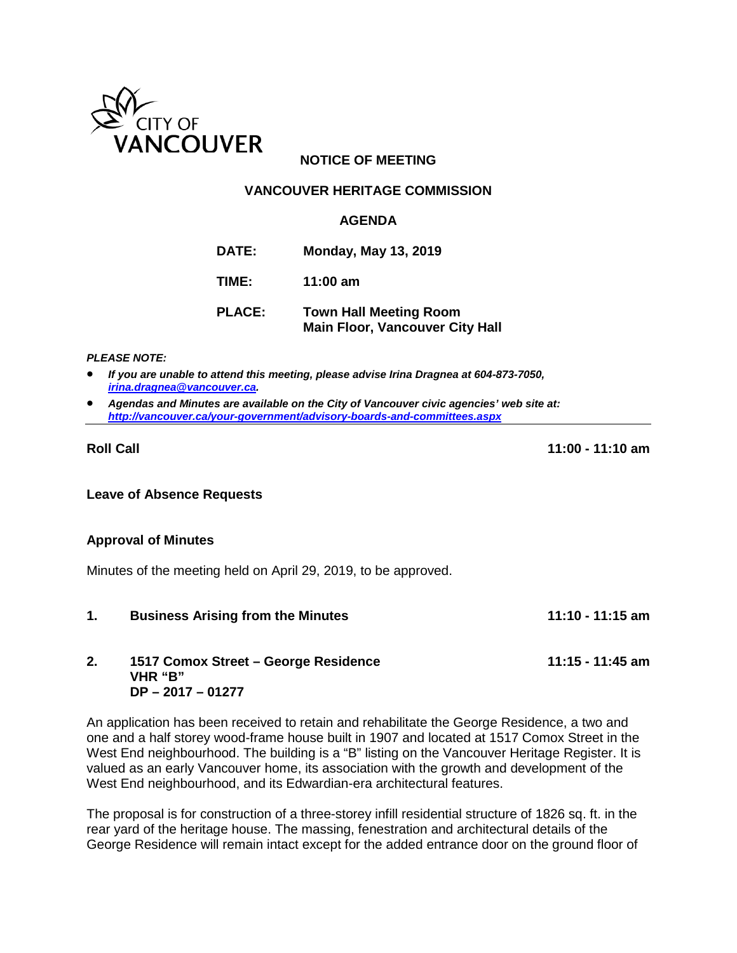

## **NOTICE OF MEETING**

### **VANCOUVER HERITAGE COMMISSION**

#### **AGENDA**

- **DATE: Monday, May 13, 2019**
- **TIME: 11:00 am**
- **PLACE: Town Hall Meeting Room Main Floor, Vancouver City Hall**

*PLEASE NOTE:*

- *If you are unable to attend this meeting, please advise Irina Dragnea at 604-873-7050, [irina.dragnea@vancouver.ca.](mailto:irina.dragnea@vancouver.ca)*
- *Agendas and Minutes are available on the City of Vancouver civic agencies' web site at: <http://vancouver.ca/your-government/advisory-boards-and-committees.aspx>*

**Roll Call 11:00 - 11:10 am**

**Leave of Absence Requests**

#### **Approval of Minutes**

Minutes of the meeting held on April 29, 2019, to be approved.

**1. Business Arising from the Minutes 11:10 - 11:15 am**

#### **2. 1517 Comox Street – George Residence 11:15 - 11:45 am VHR "B" DP – 2017 – 01277**

An application has been received to retain and rehabilitate the George Residence, a two and one and a half storey wood-frame house built in 1907 and located at 1517 Comox Street in the West End neighbourhood. The building is a "B" listing on the Vancouver Heritage Register. It is valued as an early Vancouver home, its association with the growth and development of the West End neighbourhood, and its Edwardian-era architectural features.

The proposal is for construction of a three-storey infill residential structure of 1826 sq. ft. in the rear yard of the heritage house. The massing, fenestration and architectural details of the George Residence will remain intact except for the added entrance door on the ground floor of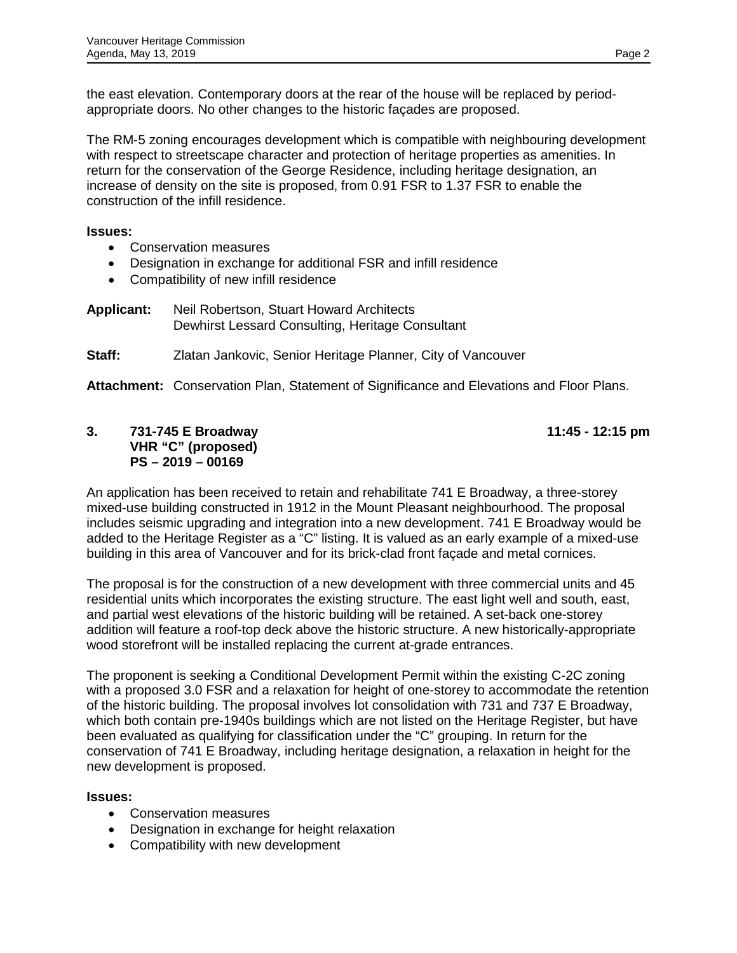the east elevation. Contemporary doors at the rear of the house will be replaced by periodappropriate doors. No other changes to the historic façades are proposed.

The RM-5 zoning encourages development which is compatible with neighbouring development with respect to streetscape character and protection of heritage properties as amenities. In return for the conservation of the George Residence, including heritage designation, an increase of density on the site is proposed, from 0.91 FSR to 1.37 FSR to enable the construction of the infill residence.

### **Issues:**

- Conservation measures
- Designation in exchange for additional FSR and infill residence
- Compatibility of new infill residence
- **Applicant:** Neil Robertson, Stuart Howard Architects Dewhirst Lessard Consulting, Heritage Consultant
- **Staff:** Zlatan Jankovic, Senior Heritage Planner, City of Vancouver

**Attachment:** Conservation Plan, Statement of Significance and Elevations and Floor Plans.

## **3. 731-745 E Broadway 11:45 - 12:15 pm VHR "C" (proposed) PS – 2019 – 00169**

An application has been received to retain and rehabilitate 741 E Broadway, a three-storey mixed-use building constructed in 1912 in the Mount Pleasant neighbourhood. The proposal includes seismic upgrading and integration into a new development. 741 E Broadway would be added to the Heritage Register as a "C" listing. It is valued as an early example of a mixed-use building in this area of Vancouver and for its brick-clad front façade and metal cornices.

The proposal is for the construction of a new development with three commercial units and 45 residential units which incorporates the existing structure. The east light well and south, east, and partial west elevations of the historic building will be retained. A set-back one-storey addition will feature a roof-top deck above the historic structure. A new historically-appropriate wood storefront will be installed replacing the current at-grade entrances.

The proponent is seeking a Conditional Development Permit within the existing C-2C zoning with a proposed 3.0 FSR and a relaxation for height of one-storey to accommodate the retention of the historic building. The proposal involves lot consolidation with 731 and 737 E Broadway, which both contain pre-1940s buildings which are not listed on the Heritage Register, but have been evaluated as qualifying for classification under the "C" grouping. In return for the conservation of 741 E Broadway, including heritage designation, a relaxation in height for the new development is proposed.

## **Issues:**

- Conservation measures
- Designation in exchange for height relaxation
- Compatibility with new development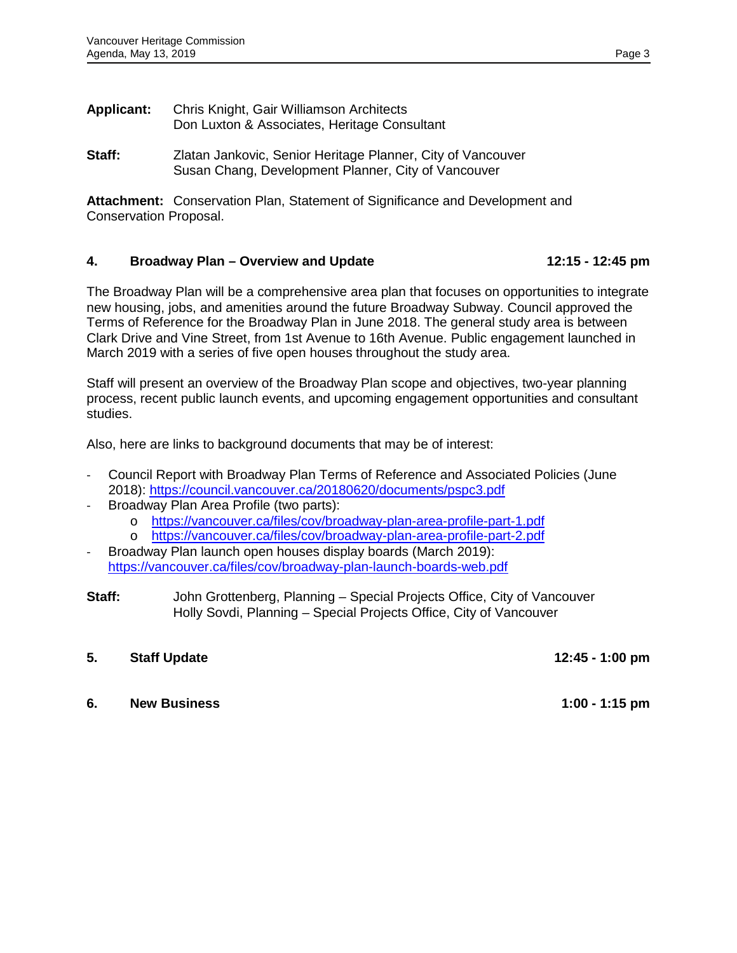- **Applicant:** Chris Knight, Gair Williamson Architects Don Luxton & Associates, Heritage Consultant
- **Staff:** Zlatan Jankovic, Senior Heritage Planner, City of Vancouver Susan Chang, Development Planner, City of Vancouver

**Attachment:** Conservation Plan, Statement of Significance and Development and Conservation Proposal.

### **4. Broadway Plan – Overview and Update 12:15 - 12:45 pm**

The Broadway Plan will be a comprehensive area plan that focuses on opportunities to integrate new housing, jobs, and amenities around the future Broadway Subway. Council approved the Terms of Reference for the Broadway Plan in June 2018. The general study area is between Clark Drive and Vine Street, from 1st Avenue to 16th Avenue. Public engagement launched in March 2019 with a series of five open houses throughout the study area.

Staff will present an overview of the Broadway Plan scope and objectives, two-year planning process, recent public launch events, and upcoming engagement opportunities and consultant studies.

Also, here are links to background documents that may be of interest:

- Council Report with Broadway Plan Terms of Reference and Associated Policies (June 2018):<https://council.vancouver.ca/20180620/documents/pspc3.pdf>
- Broadway Plan Area Profile (two parts):
	- o <https://vancouver.ca/files/cov/broadway-plan-area-profile-part-1.pdf><br>o https://vancouver.ca/files/cov/broadway-plan-area-profile-part-2.pdf
	- <https://vancouver.ca/files/cov/broadway-plan-area-profile-part-2.pdf>
- Broadway Plan launch open houses display boards (March 2019): <https://vancouver.ca/files/cov/broadway-plan-launch-boards-web.pdf>
- **Staff:** John Grottenberg, Planning Special Projects Office, City of Vancouver Holly Sovdi, Planning – Special Projects Office, City of Vancouver

## **5. Staff Update 12:45 - 1:00 pm**

## **6. New Business 1:00 - 1:15 pm**